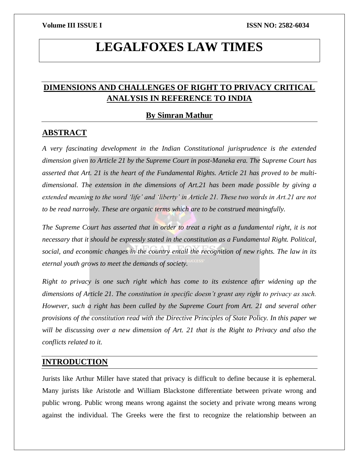# **LEGALFOXES LAW TIMES**

# **DIMENSIONS AND CHALLENGES OF RIGHT TO PRIVACY CRITICAL ANALYSIS IN REFERENCE TO INDIA**

## **By Simran Mathur**

### **ABSTRACT**

*A very fascinating development in the Indian Constitutional jurisprudence is the extended dimension given to Article 21 by the Supreme Court in post-Maneka era. The Supreme Court has asserted that Art. 21 is the heart of the Fundamental Rights. Article 21 has proved to be multidimensional. The extension in the dimensions of Art.21 has been made possible by giving a extended meaning to the word 'life' and 'liberty' in Article 21. These two words in Art.21 are not to be read narrowly. These are organic terms which are to be construed meaningfully.*

*The Supreme Court has asserted that in order to treat a right as a fundamental right, it is not necessary that it should be expressly stated in the constitution as a Fundamental Right. Political, social, and economic changes in the country entail the recognition of new rights. The law in its eternal youth grows to meet the demands of society.*

*Right to privacy is one such right which has come to its existence after widening up the dimensions of Article 21. The constitution in specific doesn't grant any right to privacy as such. However, such a right has been culled by the Supreme Court from Art. 21 and several other provisions of the constitution read with the Directive Principles of State Policy. In this paper we will be discussing over a new dimension of Art. 21 that is the Right to Privacy and also the conflicts related to it.*

# **INTRODUCTION**

Jurists like Arthur Miller have stated that privacy is difficult to define because it is ephemeral. Many jurists like Aristotle and William Blackstone differentiate between private wrong and public wrong. Public wrong means wrong against the society and private wrong means wrong against the individual. The Greeks were the first to recognize the relationship between an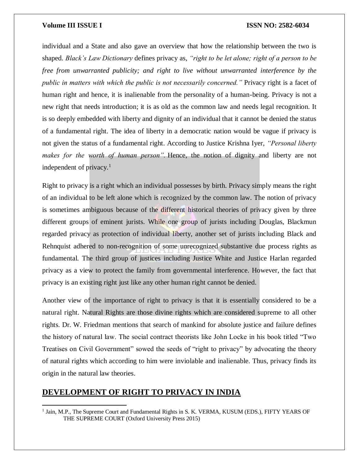individual and a State and also gave an overview that how the relationship between the two is shaped. *Black's Law Dictionary* defines privacy as, *"right to be let alone; right of a person to be free from unwarranted publicity; and right to live without unwarranted interference by the public in matters with which the public is not necessarily concerned."* Privacy right is a facet of human right and hence, it is inalienable from the personality of a human-being. Privacy is not a new right that needs introduction; it is as old as the common law and needs legal recognition. It is so deeply embedded with liberty and dignity of an individual that it cannot be denied the status of a fundamental right. The idea of liberty in a democratic nation would be vague if privacy is not given the status of a fundamental right. According to Justice Krishna Iyer, *"Personal liberty makes for the worth of human person".* Hence, the notion of dignity and liberty are not independent of privacy. $<sup>1</sup>$ </sup>

Right to privacy is a right which an individual possesses by birth. Privacy simply means the right of an individual to be left alone which is recognized by the common law. The notion of privacy is sometimes ambiguous because of the different historical theories of privacy given by three different groups of eminent jurists. While one group of jurists including Douglas, Blackmun regarded privacy as protection of individual liberty, another set of jurists including Black and Rehnquist adhered to non-recognition of some unrecognized substantive due process rights as fundamental. The third group of justices including Justice White and Justice Harlan regarded privacy as a view to protect the family from governmental interference. However, the fact that privacy is an existing right just like any other human right cannot be denied.

Another view of the importance of right to privacy is that it is essentially considered to be a natural right. Natural Rights are those divine rights which are considered supreme to all other rights. Dr. W. Friedman mentions that search of mankind for absolute justice and failure defines the history of natural law. The social contract theorists like John Locke in his book titled "Two Treatises on Civil Government" sowed the seeds of "right to privacy" by advocating the theory of natural rights which according to him were inviolable and inalienable. Thus, privacy finds its origin in the natural law theories.

### **DEVELOPMENT OF RIGHT TO PRIVACY IN INDIA**

 $\overline{\phantom{a}}$ 

<sup>&</sup>lt;sup>1</sup> Jain, M.P., The Supreme Court and Fundamental Rights in S. K. VERMA, KUSUM (EDS.), FIFTY YEARS OF THE SUPREME COURT (Oxford University Press 2015)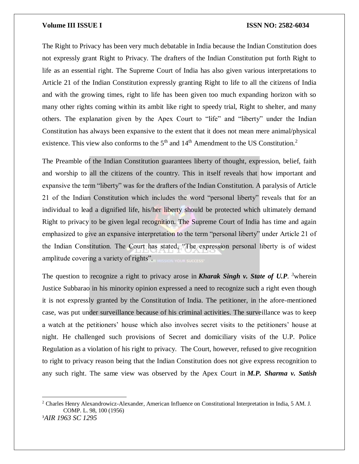$\overline{\phantom{a}}$ 

#### **Volume III ISSUE I ISSN NO: 2582-6034**

The Right to Privacy has been very much debatable in India because the Indian Constitution does not expressly grant Right to Privacy. The drafters of the Indian Constitution put forth Right to life as an essential right. The Supreme Court of India has also given various interpretations to Article 21 of the Indian Constitution expressly granting Right to life to all the citizens of India and with the growing times, right to life has been given too much expanding horizon with so many other rights coming within its ambit like right to speedy trial, Right to shelter, and many others. The explanation given by the Apex Court to "life" and "liberty" under the Indian Constitution has always been expansive to the extent that it does not mean mere animal/physical existence. This view also conforms to the  $5<sup>th</sup>$  and  $14<sup>th</sup>$  Amendment to the US Constitution.<sup>2</sup>

The Preamble of the Indian Constitution guarantees liberty of thought, expression, belief, faith and worship to all the citizens of the country. This in itself reveals that how important and expansive the term "liberty" was for the drafters of the Indian Constitution. A paralysis of Article 21 of the Indian Constitution which includes the word "personal liberty" reveals that for an individual to lead a dignified life, his/her liberty should be protected which ultimately demand Right to privacy to be given legal recognition. The Supreme Court of India has time and again emphasized to give an expansive interpretation to the term "personal liberty" under Article 21 of the Indian Constitution. The Court has stated, "The expression personal liberty is of widest amplitude covering a variety of rights". RIMISSION YOUR SUCCESS'

The question to recognize a right to privacy arose in **Kharak Singh v. State of U.P.** <sup>3</sup>wherein Justice Subbarao in his minority opinion expressed a need to recognize such a right even though it is not expressly granted by the Constitution of India. The petitioner, in the afore-mentioned case, was put under surveillance because of his criminal activities. The surveillance was to keep a watch at the petitioners' house which also involves secret visits to the petitioners' house at night. He challenged such provisions of Secret and domiciliary visits of the U.P. Police Regulation as a violation of his right to privacy. The Court, however, refused to give recognition to right to privacy reason being that the Indian Constitution does not give express recognition to any such right. The same view was observed by the Apex Court in *M.P. Sharma v. Satish* 

<sup>2</sup> Charles Henry Alexandrowicz-Alexander, American Influence on Constitutional Interpretation in India, 5 AM. J. COMP. L. 98, 100 (1956) 3*AIR 1963 SC 1295*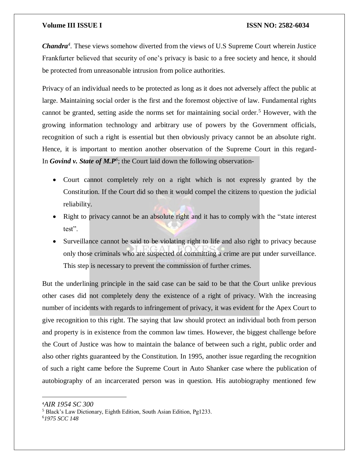*Chandra<sup>4</sup> .* These views somehow diverted from the views of U.S Supreme Court wherein Justice Frankfurter believed that security of one's privacy is basic to a free society and hence, it should be protected from unreasonable intrusion from police authorities.

Privacy of an individual needs to be protected as long as it does not adversely affect the public at large. Maintaining social order is the first and the foremost objective of law. Fundamental rights cannot be granted, setting aside the norms set for maintaining social order.<sup>5</sup> However, with the growing information technology and arbitrary use of powers by the Government officials, recognition of such a right is essential but then obviously privacy cannot be an absolute right. Hence, it is important to mention another observation of the Supreme Court in this regard-In *Govind v. State of M.P<sup>6</sup>*; the Court laid down the following observation-

- Court cannot completely rely on a right which is not expressly granted by the Constitution. If the Court did so then it would compel the citizens to question the judicial reliability.
- Right to privacy cannot be an absolute right and it has to comply with the "state interest" test".
- Surveillance cannot be said to be violating right to life and also right to privacy because only those criminals who are suspected of committing a crime are put under surveillance. This step is necessary to prevent the commission of further crimes.

But the underlining principle in the said case can be said to be that the Court unlike previous other cases did not completely deny the existence of a right of privacy. With the increasing number of incidents with regards to infringement of privacy, it was evident for the Apex Court to give recognition to this right. The saying that law should protect an individual both from person and property is in existence from the common law times. However, the biggest challenge before the Court of Justice was how to maintain the balance of between such a right, public order and also other rights guaranteed by the Constitution. In 1995, another issue regarding the recognition of such a right came before the Supreme Court in Auto Shanker case where the publication of autobiography of an incarcerated person was in question. His autobiography mentioned few

6*1975 SCC 148*

 $\overline{\phantom{a}}$ 

<sup>4</sup>*AIR 1954 SC 300*

<sup>5</sup> Black's Law Dictionary, Eighth Edition, South Asian Edition, Pg1233.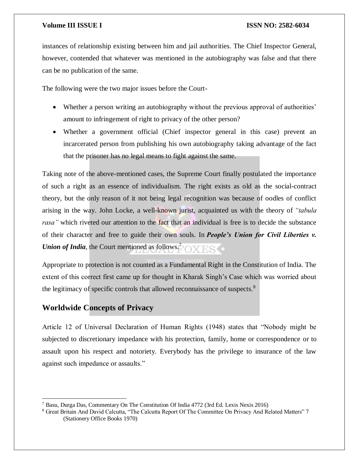instances of relationship existing between him and jail authorities. The Chief Inspector General, however, contended that whatever was mentioned in the autobiography was false and that there can be no publication of the same.

The following were the two major issues before the Court-

- Whether a person writing an autobiography without the previous approval of authorities' amount to infringement of right to privacy of the other person?
- Whether a government official (Chief inspector general in this case) prevent an incarcerated person from publishing his own autobiography taking advantage of the fact that the prisoner has no legal means to fight against the same.

Taking note of the above-mentioned cases, the Supreme Court finally postulated the importance of such a right as an essence of individualism. The right exists as old as the social-contract theory, but the only reason of it not being legal recognition was because of oodles of conflict arising in the way. John Locke, a well-known jurist, acquainted us with the theory of *"tabula rasa"* which riveted our attention to the fact that an individual is free is to decide the substance of their character and free to guide their own souls. In *People's Union for Civil Liberties v. Union of India*, the Court mentioned as follows.<sup>7</sup>

Appropriate to protection is not counted as a Fundamental Right in the Constitution of India. The extent of this correct first came up for thought in Kharak Singh's Case which was worried about the legitimacy of specific controls that allowed reconnaissance of suspects.<sup>8</sup>

# **Worldwide Concepts of Privacy**

Article 12 of Universal Declaration of Human Rights (1948) states that "Nobody might be subjected to discretionary impedance with his protection, family, home or correspondence or to assault upon his respect and notoriety. Everybody has the privilege to insurance of the law against such impedance or assaults."

 $\overline{a}$ <sup>7</sup> Basu, Durga Das, Commentary On The Constitution Of India 4772 (3rd Ed. Lexis Nexis 2016)

<sup>8</sup> Great Britain And David Calcutta, "The Calcutta Report Of The Committee On Privacy And Related Matters" 7 (Stationery Office Books 1970)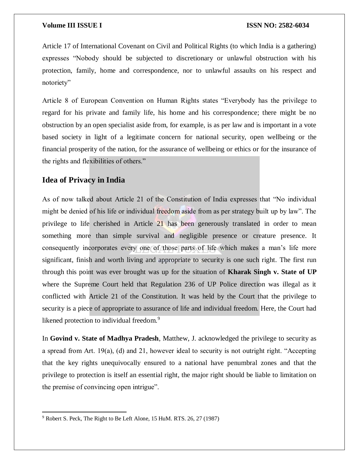Article 17 of International Covenant on Civil and Political Rights (to which India is a gathering) expresses "Nobody should be subjected to discretionary or unlawful obstruction with his protection, family, home and correspondence, nor to unlawful assaults on his respect and notoriety"

Article 8 of European Convention on Human Rights states "Everybody has the privilege to regard for his private and family life, his home and his correspondence; there might be no obstruction by an open specialist aside from, for example, is as per law and is important in a vote based society in light of a legitimate concern for national security, open wellbeing or the financial prosperity of the nation, for the assurance of wellbeing or ethics or for the insurance of the rights and flexibilities of others."

# **Idea of Privacy in India**

As of now talked about Article 21 of the Constitution of India expresses that "No individual might be denied of his life or individual freedom aside from as per strategy built up by law". The privilege to life cherished in Article 21 has been generously translated in order to mean something more than simple survival and negligible presence or creature presence. It consequently incorporates every one of those parts of life which makes a man's life more significant, finish and worth living and appropriate to security is one such right. The first run through this point was ever brought was up for the situation of **Kharak Singh v. State of UP** where the Supreme Court held that Regulation 236 of UP Police direction was illegal as it conflicted with Article 21 of the Constitution. It was held by the Court that the privilege to security is a piece of appropriate to assurance of life and individual freedom. Here, the Court had likened protection to individual freedom.<sup>9</sup>

In **Govind v. State of Madhya Pradesh**, Matthew, J. acknowledged the privilege to security as a spread from Art.  $19(a)$ , (d) and 21, however ideal to security is not outright right. "Accepting that the key rights unequivocally ensured to a national have penumbral zones and that the privilege to protection is itself an essential right, the major right should be liable to limitation on the premise of convincing open intrigue".

 $\overline{a}$ <sup>9</sup> Robert S. Peck, The Right to Be Left Alone, 15 HuM. RTS. 26, 27 (1987)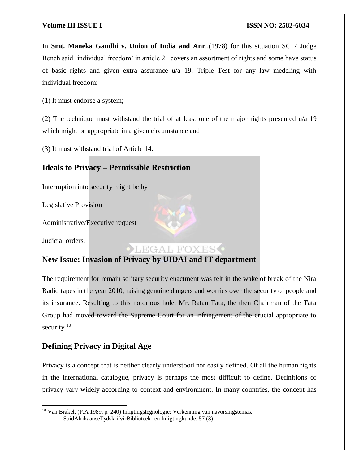In **Smt. Maneka Gandhi v. Union of India and Anr**.,(1978) for this situation SC 7 Judge Bench said 'individual freedom' in article 21 covers an assortment of rights and some have status of basic rights and given extra assurance u/a 19. Triple Test for any law meddling with individual freedom:

(1) It must endorse a system;

(2) The technique must withstand the trial of at least one of the major rights presented u/a 19 which might be appropriate in a given circumstance and

(3) It must withstand trial of Article 14.

# **Ideals to Privacy – Permissible Restriction**

Interruption into security might be by –

Legislative Provision

Administrative/Executive request

Judicial orders,

 $\overline{\phantom{a}}$ 

# **OLEGAL FOXES**

# **New Issue: Invasion of Privacy by UIDAI and IT department**

The requirement for remain solitary security enactment was felt in the wake of break of the Nira Radio tapes in the year 2010, raising genuine dangers and worries over the security of people and its insurance. Resulting to this notorious hole, Mr. Ratan Tata, the then Chairman of the Tata Group had moved toward the Supreme Court for an infringement of the crucial appropriate to security. $10$ 

### **Defining Privacy in Digital Age**

Privacy is a concept that is neither clearly understood nor easily defined. Of all the human rights in the international catalogue, privacy is perhaps the most difficult to define. Definitions of privacy vary widely according to context and environment. In many countries, the concept has

<sup>10</sup> Van Brakel, (P.A.1989, p. 240) Inligtingstegnologie: Verkenning van navorsingstemas. SuidAfrikaanseTydskrifvirBiblioteek- en Inligtingkunde, 57 (3).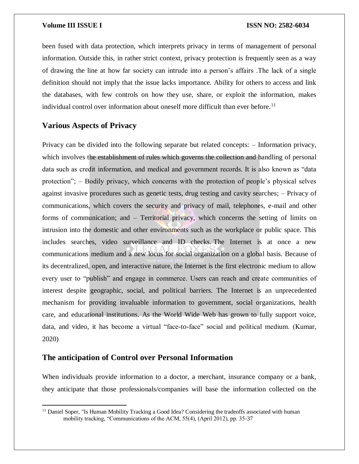been fused with data protection, which interprets privacy in terms of management of personal information. Outside this, in rather strict context, privacy protection is frequently seen as a way of drawing the line at how far society can intrude into a person's affairs .The lack of a single definition should not imply that the issue lacks importance. Ability for others to access and link the databases, with few controls on how they use, share, or exploit the information, makes individual control over information about oneself more difficult than ever before.<sup>11</sup>

### **Various Aspects of Privacy**

 $\overline{\phantom{a}}$ 

Privacy can be divided into the following separate but related concepts: – Information privacy, which involves the establishment of rules which governs the collection and handling of personal data such as credit information, and medical and government records. It is also known as "data protection"; – Bodily privacy, which concerns with the protection of people's physical selves against invasive procedures such as genetic tests, drug testing and cavity searches; – Privacy of communications, which covers the security and privacy of mail, telephones, e-mail and other forms of communication; and – Territorial privacy, which concerns the setting of limits on intrusion into the domestic and other environments such as the workplace or public space. This includes searches, video surveillance and ID checks. The Internet is at once a new communications medium and a new locus for social organization on a global basis. Because of its decentralized, open, and interactive nature, the Internet is the first electronic medium to allow every user to "publish" and engage in commerce. Users can reach and create communities of interest despite geographic, social, and political barriers. The Internet is an unprecedented mechanism for providing invaluable information to government, social organizations, health care, and educational institutions. As the World Wide Web has grown to fully support voice, data, and video, it has become a virtual "face-to-face" social and political medium. (Kumar, 2020)

### **The anticipation of Control over Personal Information**

When individuals provide information to a doctor, a merchant, insurance company or a bank, they anticipate that those professionals/companies will base the information collected on the

<sup>&</sup>lt;sup>11</sup> Daniel Soper, "Is Human Mobility Tracking a Good Idea? Considering the tradeoffs associated with human mobility tracking, "Communications of the ACM, 55(4), (April 2012), pp. 35-37